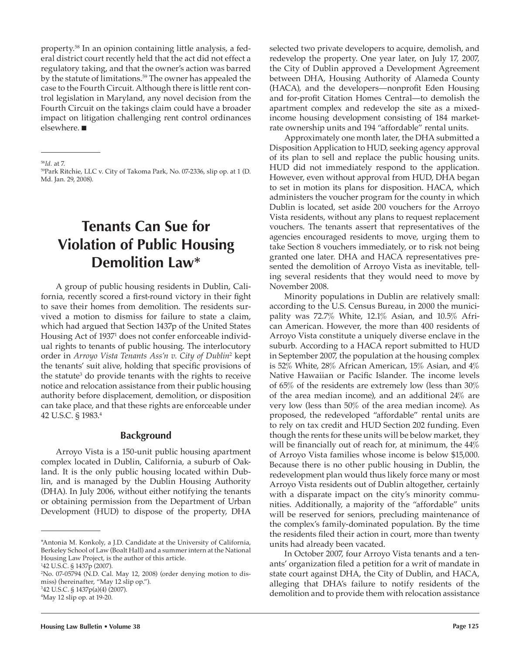property.58 In an opinion containing little analysis, a federal district court recently held that the act did not effect a regulatory taking, and that the owner's action was barred by the statute of limitations.<sup>59</sup> The owner has appealed the case to the Fourth Circuit. Although there is little rent control legislation in Maryland, any novel decision from the Fourth Circuit on the takings claim could have a broader impact on litigation challenging rent control ordinances elsewhere.  $\blacksquare$ 

# **Tenants Can Sue for Violation of Public Housing Demolition Law\***

A group of public housing residents in Dublin, California, recently scored a first-round victory in their fight to save their homes from demolition. The residents survived a motion to dismiss for failure to state a claim, which had argued that Section 1437p of the United States Housing Act of 19371 does not confer enforceable individual rights to tenants of public housing. The interlocutory order in *Arroyo Vista Tenants Ass'n v. City of Dublin*<sup>2</sup> kept the tenants' suit alive, holding that specific provisions of the statute<sup>3</sup> do provide tenants with the rights to receive notice and relocation assistance from their public housing authority before displacement, demolition, or disposition can take place, and that these rights are enforceable under 42 U.S.C. § 1983.4

#### **Background**

Arroyo Vista is a 150-unit public housing apartment complex located in Dublin, California, a suburb of Oakland. It is the only public housing located within Dublin, and is managed by the Dublin Housing Authority (DHA). In July 2006, without either notifying the tenants or obtaining permission from the Department of Urban Development (HUD) to dispose of the property, DHA

4 May 12 slip op. at 19-20.

Approximately one month later, the DHA submitted a Disposition Application to HUD, seeking agency approval of its plan to sell and replace the public housing units. HUD did not immediately respond to the application. However, even without approval from HUD, DHA began to set in motion its plans for disposition. HACA, which administers the voucher program for the county in which Dublin is located, set aside 200 vouchers for the Arroyo Vista residents, without any plans to request replacement vouchers. The tenants assert that representatives of the agencies encouraged residents to move, urging them to take Section 8 vouchers immediately, or to risk not being granted one later. DHA and HACA representatives presented the demolition of Arroyo Vista as inevitable, telling several residents that they would need to move by November 2008.

Minority populations in Dublin are relatively small: according to the U.S. Census Bureau, in 2000 the municipality was 72.7% White, 12.1% Asian, and 10.5% African American. However, the more than 400 residents of Arroyo Vista constitute a uniquely diverse enclave in the suburb. According to a HACA report submitted to HUD in September 2007, the population at the housing complex is 52% White, 28% African American, 15% Asian, and 4% Native Hawaiian or Pacific Islander. The income levels of 65% of the residents are extremely low (less than 30% of the area median income), and an additional 24% are very low (less than 50% of the area median income). As proposed, the redeveloped "affordable" rental units are to rely on tax credit and HUD Section 202 funding. Even though the rents for these units will be below market, they will be financially out of reach for, at minimum, the  $44\%$ of Arroyo Vista families whose income is below \$15,000. Because there is no other public housing in Dublin, the redevelopment plan would thus likely force many or most Arroyo Vista residents out of Dublin altogether, certainly with a disparate impact on the city's minority communities. Additionally, a majority of the "affordable" units will be reserved for seniors, precluding maintenance of the complex's family-dominated population. By the time the residents filed their action in court, more than twenty units had already been vacated.

In October 2007, four Arroyo Vista tenants and a tenants' organization filed a petition for a writ of mandate in state court against DHA, the City of Dublin, and HACA, alleging that DHA's failure to notify residents of the demolition and to provide them with relocation assistance

<sup>58</sup>*Id.* at 7.

<sup>59</sup>Park Ritchie, LLC v. City of Takoma Park, No. 07-2336, slip op. at 1 (D. Md. Jan. 29, 2008).

<sup>\*</sup>Antonia M. Konkoly, a J.D. Candidate at the University of California, Berkeley School of Law (Boalt Hall) and a summer intern at the National Housing Law Project, is the author of this article.

<sup>1</sup> 42 U.S.C. § 1437p (2007).

<sup>2</sup> No. 07-05794 (N.D. Cal. May 12, 2008) (order denying motion to dismiss) (hereinafter, "May 12 slip op."). 3 42 U.S.C. § 1437p(a)(4) (2007).

selected two private developers to acquire, demolish, and redevelop the property. One year later, on July 17, 2007, the City of Dublin approved a Development Agreement between DHA, Housing Authority of Alameda County (HACA), and the developers—nonprofit Eden Housing and for-profit Citation Homes Central—to demolish the apartment complex and redevelop the site as a mixedincome housing development consisting of 184 marketrate ownership units and 194 "affordable" rental units.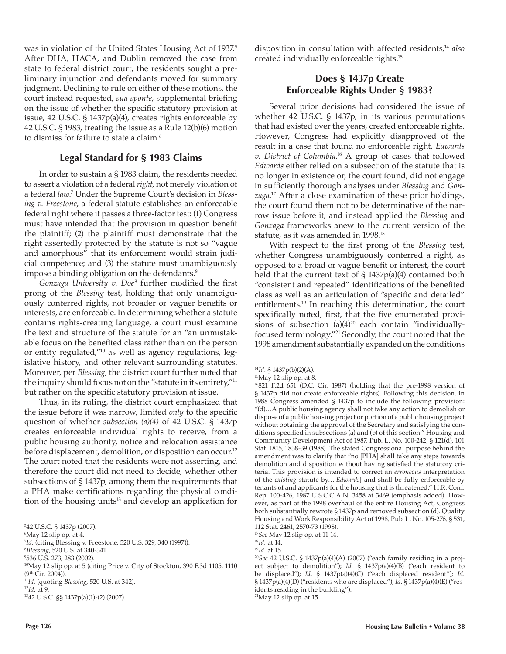was in violation of the United States Housing Act of 1937.<sup>5</sup> After DHA, HACA, and Dublin removed the case from state to federal district court, the residents sought a preliminary injunction and defendants moved for summary judgment. Declining to rule on either of these motions, the court instead requested, *sua sponte*, supplemental briefing on the issue of whether the specific statutory provision at issue, 42 U.S.C. § 1437p(a)(4), creates rights enforceable by 42 U.S.C. § 1983, treating the issue as a Rule 12(b)(6) motion to dismiss for failure to state a claim.6

#### **Legal Standard for § 1983 Claims**

In order to sustain a § 1983 claim, the residents needed to assert a violation of a federal *right*, not merely violation of a federal *law*. 7 Under the Supreme Court's decision in *Blessing v. Freestone*, a federal statute establishes an enforceable federal right where it passes a three-factor test: (1) Congress must have intended that the provision in question benefit the plaintiff; (2) the plaintiff must demonstrate that the right assertedly protected by the statute is not so "vague and amorphous" that its enforcement would strain judicial competence; and (3) the statute must unambiguously impose a binding obligation on the defendants.<sup>8</sup>

*Gonzaga University v. Doe<sup>9</sup>* further modified the first prong of the *Blessing* test, holding that only unambiguously conferred rights, not broader or vaguer benefits or interests, are enforceable. In determining whether a statute contains rights-creating language, a court must examine the text and structure of the statute for an "an unmistakable focus on the benefited class rather than on the person or entity regulated,"10 as well as agency regulations, legislative history, and other relevant surrounding statutes. Moreover, per *Blessing*, the district court further noted that the inquiry should focus not on the "statute in its entirety,"11 but rather on the specific statutory provision at issue.

Thus, in its ruling, the district court emphasized that the issue before it was narrow, limited *only* to the specific question of whether *subsection (a)(4)* of 42 U.S.C. § 1437p creates enforceable individual rights to receive, from a public housing authority, notice and relocation assistance before displacement, demolition, or disposition can occur.<sup>12</sup> The court noted that the residents were not asserting, and therefore the court did not need to decide, whether other subsections of § 1437p, among them the requirements that a PHA make certifications regarding the physical condition of the housing units<sup>13</sup> and develop an application for

disposition in consultation with affected residents,14 *also* created individually enforceable rights.15

#### **Does § 1437p Create Enforceable Rights Under § 1983?**

Several prior decisions had considered the issue of whether 42 U.S.C. § 1437p, in its various permutations that had existed over the years, created enforceable rights. However, Congress had explicitly disapproved of the result in a case that found no enforceable right, *Edwards v. District of Columbia*. 16 A group of cases that followed *Edwards* either relied on a subsection of the statute that is no longer in existence or, the court found, did not engage in sufficiently thorough analyses under *Blessing* and *Gonzaga*. 17 After a close examination of these prior holdings, the court found them not to be determinative of the narrow issue before it, and instead applied the *Blessing* and *Gonzaga* frameworks anew to the current version of the statute, as it was amended in 1998.18

With respect to the first prong of the *Blessing* test, whether Congress unambiguously conferred a right, as opposed to a broad or vague benefit or interest, the court held that the current text of § 1437p(a)(4) contained both "consistent and repeated" identifications of the benefited class as well as an articulation of "specific and detailed" entitlements.19 In reaching this determination, the court specifically noted, first, that the five enumerated provisions of subsection  $(a)(4)^{20}$  each contain "individuallyfocused terminology."21 Secondly, the court noted that the 1998 amendment substantially expanded on the conditions

<sup>5</sup> 42 U.S.C. § 1437p (2007).

<sup>6</sup> May 12 slip op. at 4.

<sup>&</sup>lt;sup>7</sup>Id. (citing Blessing v. Freestone, 520 U.S. 329, 340 (1997)).<br><sup>8</sup>Blessing, 520 U.S. at 340-341

*Blessing*, 520 U.S. at 340-341. 9

<sup>536</sup> U.S. 273, 283 (2002).

<sup>&</sup>lt;sup>10</sup>May 12 slip op. at 5 (citing Price v. City of Stockton, 390 F.3d 1105, 1110 (9th Cir. 2004)).

<sup>11</sup>*Id.* (quoting *Blessing*, 520 U.S. at 342).

<sup>12</sup>*Id.* at 9.

<sup>1342</sup> U.S.C. §§ 1437p(a)(1)-(2) (2007).

<sup>14</sup>*Id.* § 1437p(b)(2)(A).

<sup>&</sup>lt;sup>15</sup>May 12 slip op. at 8.

<sup>&</sup>lt;sup>16</sup>821 F.2d 651 (D.C. Cir. 1987) (holding that the pre-1998 version of § 1437p did not create enforceable rights). Following this decision, in 1988 Congress amended § 1437p to include the following provision: "(d)…A public housing agency shall not take any action to demolish or dispose of a public housing project or portion of a public housing project without obtaining the approval of the Secretary and satisfying the conditions specified in subsections (a) and (b) of this section." Housing and Community Development Act of 1987, Pub. L. No. 100-242, § 121(d), 101 Stat. 1815, 1838-39 (1988). The stated Congressional purpose behind the amendment was to clarify that "no [PHA] shall take any steps towards demolition and disposition without having satisfied the statutory criteria. This provision is intended to correct an *erroneous* interpretation of the *existing* statute by…[*Edwards*] and shall be fully enforceable by tenants of and applicants for the housing that is threatened." H.R. Conf. Rep. 100-426, 1987 U.S.C.C.A.N. 3458 at 3469 (emphasis added). However, as part of the 1998 overhaul of the entire Housing Act, Congress both substantially rewrote § 1437p and removed subsection (d). Quality Housing and Work Responsibility Act of 1998, Pub. L. No. 105-276, § 531, 112 Stat. 2461, 2570-73 (1998).

<sup>17</sup>*See* May 12 slip op. at 11-14.

<sup>18</sup>*Id.* at 14.

<sup>19</sup>*Id.* at 15.

<sup>20</sup>*See* 42 U.S.C. § 1437p(a)(4)(A) (2007) ("each family residing in a project subject to demolition"); *Id.* § 1437p(a)(4)(B) ("each resident to be displaced"); *Id.* § 1437p(a)(4)(C) ("each displaced resident"); *Id.* § 1437p(a)(4)(D) ("residents who are displaced"); *Id.* § 1437p(a)(4)(E) ("residents residing in the building").

 $21$ May 12 slip op. at 15.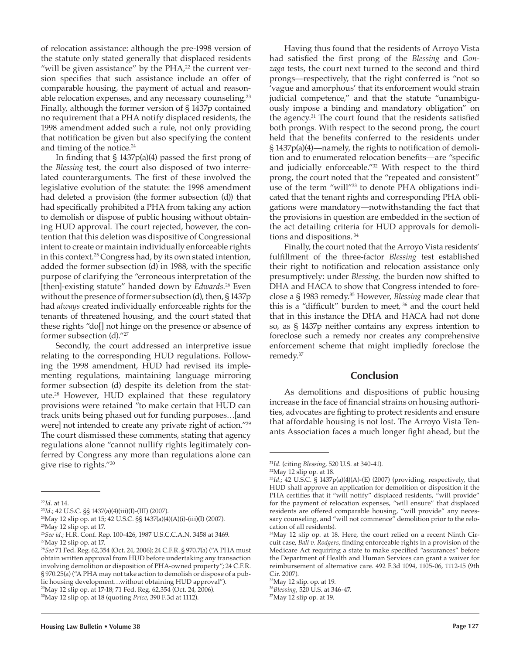of relocation assistance: although the pre-1998 version of the statute only stated generally that displaced residents "will be given assistance" by the  $PHA<sub>z</sub><sup>22</sup>$  the current version specifies that such assistance include an offer of comparable housing, the payment of actual and reasonable relocation expenses, and any necessary counseling.<sup>23</sup> Finally, although the former version of § 1437p contained no requirement that a PHA notify displaced residents, the 1998 amendment added such a rule, not only providing that notification be given but also specifying the content and timing of the notice.<sup>24</sup>

In finding that  $\S$  1437p(a)(4) passed the first prong of the *Blessing* test, the court also disposed of two interrelated counterarguments. The first of these involved the legislative evolution of the statute: the 1998 amendment had deleted a provision (the former subsection (d)) that had specifically prohibited a PHA from taking any action to demolish or dispose of public housing without obtaining HUD approval. The court rejected, however, the contention that this deletion was dispositive of Congressional intent to create or maintain individually enforceable rights in this context.25 Congress had, by its own stated intention, added the former subsection (d) in 1988, with the specific purpose of clarifying the "erroneous interpretation of the [then]-existing statute" handed down by *Edwards.*26 Even without the presence of former subsection (d), then, § 1437p had *always* created individually enforceable rights for the tenants of threatened housing, and the court stated that these rights "do[] not hinge on the presence or absence of former subsection (d)."27

Secondly, the court addressed an interpretive issue relating to the corresponding HUD regulations. Following the 1998 amendment, HUD had revised its implementing regulations, maintaining language mirroring former subsection (d) despite its deletion from the statute.28 However, HUD explained that these regulatory provisions were retained "to make certain that HUD can track units being phased out for funding purposes…[and were] not intended to create any private right of action."29 The court dismissed these comments, stating that agency regulations alone "cannot nullify rights legitimately conferred by Congress any more than regulations alone can give rise to rights."30

Having thus found that the residents of Arroyo Vista had satisfied the first prong of the *Blessing* and *Gonzaga* tests, the court next turned to the second and third prongs—respectively, that the right conferred is "not so 'vague and amorphous' that its enforcement would strain judicial competence," and that the statute "unambiguously impose a binding and mandatory obligation" on the agency. $31$  The court found that the residents satisfied both prongs. With respect to the second prong, the court held that the benefits conferred to the residents under  $\S 1437p(a)(4)$ —namely, the rights to notification of demolition and to enumerated relocation benefits—are "specific and judicially enforceable."32 With respect to the third prong, the court noted that the "repeated and consistent" use of the term "will"<sup>33</sup> to denote PHA obligations indicated that the tenant rights and corresponding PHA obligations were mandatory—notwithstanding the fact that the provisions in question are embedded in the section of the act detailing criteria for HUD approvals for demolitions and dispositions. 34

Finally, the court noted that the Arroyo Vista residents' fulfillment of the three-factor *Blessing* test established their right to notification and relocation assistance only presumptively: under *Blessing,* the burden now shifted to DHA and HACA to show that Congress intended to foreclose a § 1983 remedy.35 However, *Blessing* made clear that this is a "difficult" burden to meet,  $36$  and the court held that in this instance the DHA and HACA had not done so, as § 1437p neither contains any express intention to foreclose such a remedy nor creates any comprehensive enforcement scheme that might impliedly foreclose the remedy.37

#### **Conclusion**

As demolitions and dispositions of public housing increase in the face of financial strains on housing authorities, advocates are fighting to protect residents and ensure that affordable housing is not lost. The Arroyo Vista Tenants Association faces a much longer fight ahead, but the

<sup>22</sup>*Id.* at 14.

<sup>23</sup>*Id.*; 42 U.S.C. §§ 1437(a)(4)(iii)(I)-(III) (2007). 24May 12 slip op. at 15; 42 U.S.C. §§ 1437(a)(4)(A)(i)-(iii)(I) (2007).

<sup>&</sup>lt;sup>25</sup>May 12 slip op. at 17.

<sup>26</sup>*See id.*; H.R. Conf. Rep. 100-426, 1987 U.S.C.C.A.N. 3458 at 3469.  $27$ May 12 slip op. at 17.

<sup>28</sup>*See* 71 Fed. Reg. 62,354 (Oct. 24, 2006); 24 C.F.R. § 970.7(a) ("A PHA must obtain written approval from HUD before undertaking any transaction involving demolition or disposition of PHA-owned property"; 24 C.F.R. § 970.25(a) ("A PHA may not take action to demolish or dispose of a public housing development…without obtaining HUD approval").

<sup>29</sup>May 12 slip op. at 17-18; 71 Fed. Reg. 62,354 (Oct. 24, 2006).

<sup>30</sup>May 12 slip op. at 18 (quoting *Price*, 390 F.3d at 1112).

<sup>31</sup>*Id.* (citing *Blessing*, 520 U.S. at 340-41). 32May 12 slip op. at 18.

<sup>33</sup>*Id.*; 42 U.S.C. § 1437p(a)(4)(A)-(E) (2007) (providing, respectively, that HUD shall approve an application for demolition or disposition if the PHA certifies that it "will notify" displaced residents, "will provide" for the payment of relocation expenses, "will ensure" that displaced residents are offered comparable housing, "will provide" any necessary counseling, and "will not commence" demolition prior to the relocation of all residents).

<sup>34</sup>May 12 slip op. at 18. Here, the court relied on a recent Ninth Circuit case, *Ball v. Rodgers*, finding enforceable rights in a provision of the Medicare Act requiring a state to make specified "assurances" before the Department of Health and Human Services can grant a waiver for reimbursement of alternative care. 492 F.3d 1094, 1105-06, 1112-15 (9th Cir. 2007).

<sup>35</sup>May 12 slip. op. at 19.

<sup>36</sup>*Blessing*, 520 U.S. at 346-47.

 $37$ May 12 slip op. at 19.